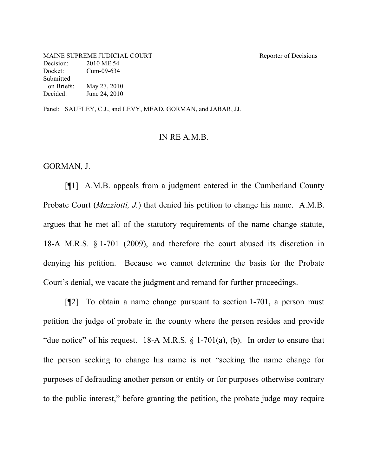MAINE SUPREME JUDICIAL COURT Reporter of Decisions Decision: 2010 ME 54 Docket: Cum-09-634 Submitted on Briefs: May 27, 2010 Decided: June 24, 2010

Panel: SAUFLEY, C.J., and LEVY, MEAD, GORMAN, and JABAR, JJ.

## IN RE A.M.B.

GORMAN, J.

[¶1] A.M.B. appeals from a judgment entered in the Cumberland County Probate Court (*Mazziotti, J.*) that denied his petition to change his name. A.M.B. argues that he met all of the statutory requirements of the name change statute, 18-A M.R.S. § 1-701 (2009), and therefore the court abused its discretion in denying his petition. Because we cannot determine the basis for the Probate Court's denial, we vacate the judgment and remand for further proceedings.

[¶2] To obtain a name change pursuant to section 1-701, a person must petition the judge of probate in the county where the person resides and provide "due notice" of his request. 18-A M.R.S.  $\S$  1-701(a), (b). In order to ensure that the person seeking to change his name is not "seeking the name change for purposes of defrauding another person or entity or for purposes otherwise contrary to the public interest," before granting the petition, the probate judge may require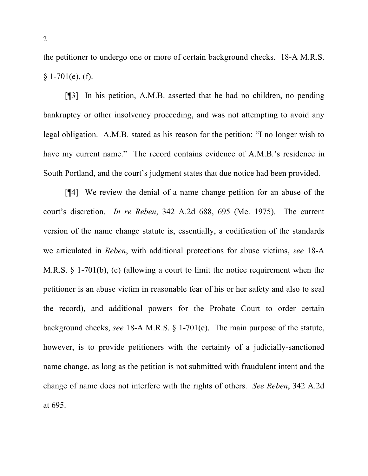the petitioner to undergo one or more of certain background checks. 18-A M.R.S.  $§ 1-701(e), (f).$ 

[¶3] In his petition, A.M.B. asserted that he had no children, no pending bankruptcy or other insolvency proceeding, and was not attempting to avoid any legal obligation. A.M.B. stated as his reason for the petition: "I no longer wish to have my current name." The record contains evidence of A.M.B.'s residence in South Portland, and the court's judgment states that due notice had been provided.

[¶4] We review the denial of a name change petition for an abuse of the court's discretion. *In re Reben*, 342 A.2d 688, 695 (Me. 1975). The current version of the name change statute is, essentially, a codification of the standards we articulated in *Reben*, with additional protections for abuse victims, *see* 18-A M.R.S. § 1-701(b), (c) (allowing a court to limit the notice requirement when the petitioner is an abuse victim in reasonable fear of his or her safety and also to seal the record), and additional powers for the Probate Court to order certain background checks, *see* 18-A M.R.S. § 1-701(e). The main purpose of the statute, however, is to provide petitioners with the certainty of a judicially-sanctioned name change, as long as the petition is not submitted with fraudulent intent and the change of name does not interfere with the rights of others. *See Reben*, 342 A.2d at 695.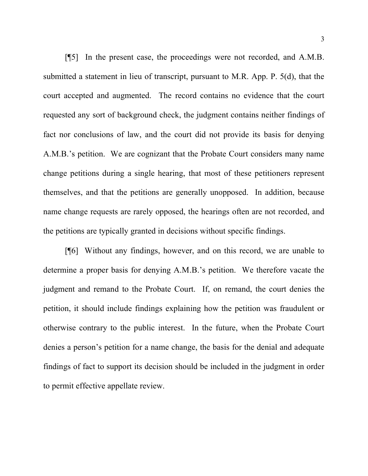[¶5] In the present case, the proceedings were not recorded, and A.M.B. submitted a statement in lieu of transcript, pursuant to M.R. App. P. 5(d), that the court accepted and augmented. The record contains no evidence that the court requested any sort of background check, the judgment contains neither findings of fact nor conclusions of law, and the court did not provide its basis for denying A.M.B.'s petition. We are cognizant that the Probate Court considers many name change petitions during a single hearing, that most of these petitioners represent themselves, and that the petitions are generally unopposed. In addition, because name change requests are rarely opposed, the hearings often are not recorded, and the petitions are typically granted in decisions without specific findings.

[¶6] Without any findings, however, and on this record, we are unable to determine a proper basis for denying A.M.B.'s petition. We therefore vacate the judgment and remand to the Probate Court. If, on remand, the court denies the petition, it should include findings explaining how the petition was fraudulent or otherwise contrary to the public interest. In the future, when the Probate Court denies a person's petition for a name change, the basis for the denial and adequate findings of fact to support its decision should be included in the judgment in order to permit effective appellate review.